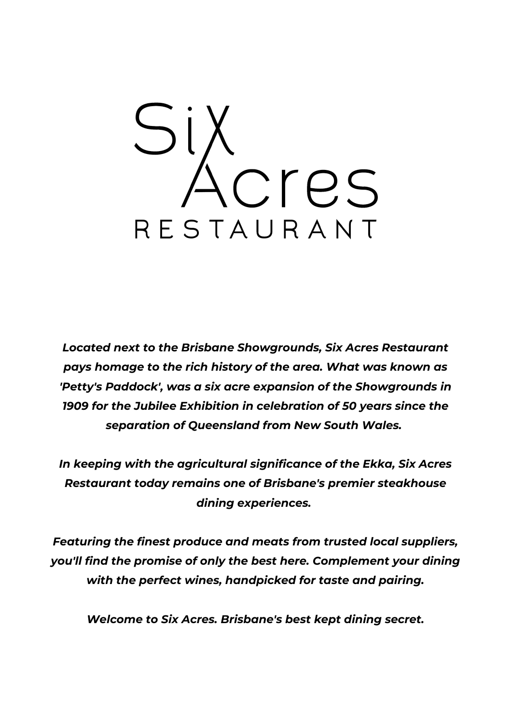

*Located next to the Brisbane Showgrounds, Six Acres Restaurant pays homage to the rich history of the area. What was known as 'Petty's Paddock', was a six acre expansion of the Showgrounds in 1909 for the Jubilee Exhibition in celebration of 50 years since the separation of Queensland from New South Wales.*

*In keeping with the agricultural significance of the Ekka, Six Acres Restaurant today remains one of Brisbane's premier steakhouse dining experiences.*

*Featuring the finest produce and meats from trusted local suppliers, you'll find the promise of only the best here. Complement your dining with the perfect wines, handpicked for taste and pairing.*

*Welcome to Six Acres. Brisbane's best kept dining secret.*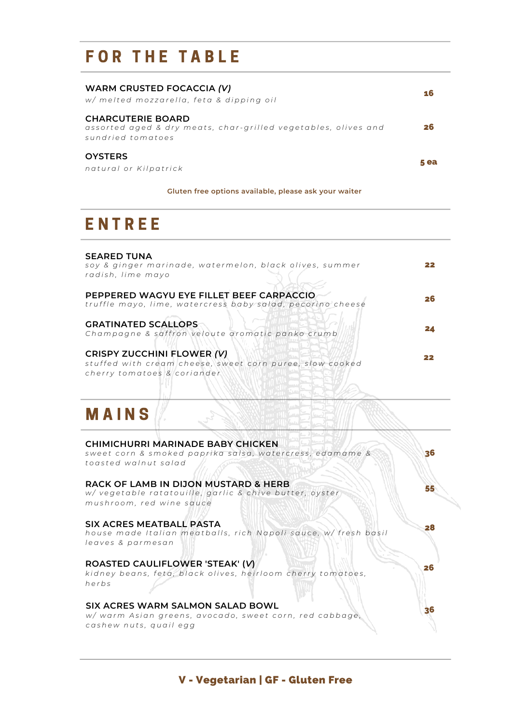# FOR THE TABLE

| WARM CRUSTED FOCACCIA (V)<br>w/ melted mozzarella, feta & dipping oil                                           |    |
|-----------------------------------------------------------------------------------------------------------------|----|
| <b>CHARCUTERIE BOARD</b><br>assorted aged & dry meats, char-grilled vegetables, olives and<br>sundried tomatoes | 26 |
| <b>OYSTERS</b><br>natural or Kilpatrick                                                                         |    |

#### **Gluten free options available, please ask your waiter**

# **ENTREE**

| <b>SEARED TUNA</b><br>soy & ginger marinade, watermelon, black olives, summer<br>radish, lime mayo                           |    |
|------------------------------------------------------------------------------------------------------------------------------|----|
| PEPPERED WAGYU EYE FILLET BEEF CARPACCIO<br>truffle mayo, lime, watercress baby salad, pecorino cheese                       | 26 |
| <b>GRATINATED SCALLOPS</b><br>Champagne & saffron veloute aromatic panko crumb                                               |    |
| <b>CRISPY ZUCCHINI FLOWER (V)</b><br>stuffed with cream cheese, sweet corn puree, slow cooked<br>cherry tomatoes & coriander |    |

# **MAINS**

| CHIMICHURRI MARINADE BABY CHICKEN<br>sweet corn & smoked paprika salsa, watercress, edamame &<br>toasted walnut salad                  | 36 |
|----------------------------------------------------------------------------------------------------------------------------------------|----|
| <b>RACK OF LAMB IN DIJON MUSTARD &amp; HERB</b><br>w/ vegetable ratatouille, garlic & chive butter, oyster<br>mushroom, red wine sauce | 55 |
| SIX ACRES MEATBALL PASTA<br>house made Italian meatballs, rich Napoli sauce, w/ fresh basil<br>leaves & parmesan                       | 28 |
| ROASTED CAULIFLOWER 'STEAK' (V)<br>kidney beans, feta, black olives, heirloom cherry tomatoes,<br>herbs                                | 26 |
| SIX ACRES WARM SALMON SALAD BOWL<br>w/warm Asian greens, avocado, sweet corn, red cabbage,<br>cashew nuts, quail egg                   | 36 |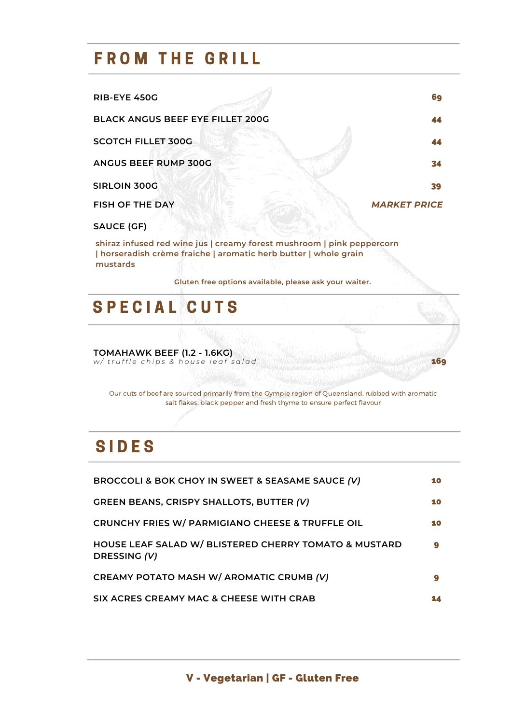### **FROM THE GRILL**

| <b>RIB-EYE 450G</b>                     | 69                  |
|-----------------------------------------|---------------------|
| <b>BLACK ANGUS BEEF EYE FILLET 200G</b> | 44                  |
| <b>SCOTCH FILLET 300G</b>               |                     |
| ANGUS BEEF RUMP 300G                    | 34                  |
| <b>SIRLOIN 300G</b>                     | 39                  |
| <b>FISH OF THE DAY</b>                  | <b>MARKET PRICE</b> |
| <b>SAUCE (GF)</b>                       |                     |

**shiraz infused red wine jus | creamy forest mushroom | pink peppercorn | horseradish crème fraiche | aromatic herb butter | whole grain mustards**

**Gluten free options available, please ask your waiter.**

### **SPECIAL CUTS**

**TOMAHAWK BEEF (1.2 - 1.6KG)** w/truffle chips & house leaf salad and the state of the state of the state of the state of the state of the state of the state of the state of the state of the state of the state of the state of the state of the state of t

Our cuts of beef are sourced primarily from the Gympie region of Queensland, rubbed with aromatic salt flakes, black pepper and fresh thyme to ensure perfect flavour

## **SIDES**

| BROCCOLI & BOK CHOY IN SWEET & SEASAME SAUCE (V)                      | 10 |
|-----------------------------------------------------------------------|----|
| <b>GREEN BEANS, CRISPY SHALLOTS, BUTTER (V)</b>                       | 10 |
| CRUNCHY FRIES W/ PARMIGIANO CHEESE & TRUFFLE OIL                      | 10 |
| HOUSE LEAF SALAD W/ BLISTERED CHERRY TOMATO & MUSTARD<br>DRESSING (V) | 9  |
| CREAMY POTATO MASH W/ AROMATIC CRUMB (V)                              | 9  |
| SIX ACRES CREAMY MAC & CHEESE WITH CRAB                               |    |